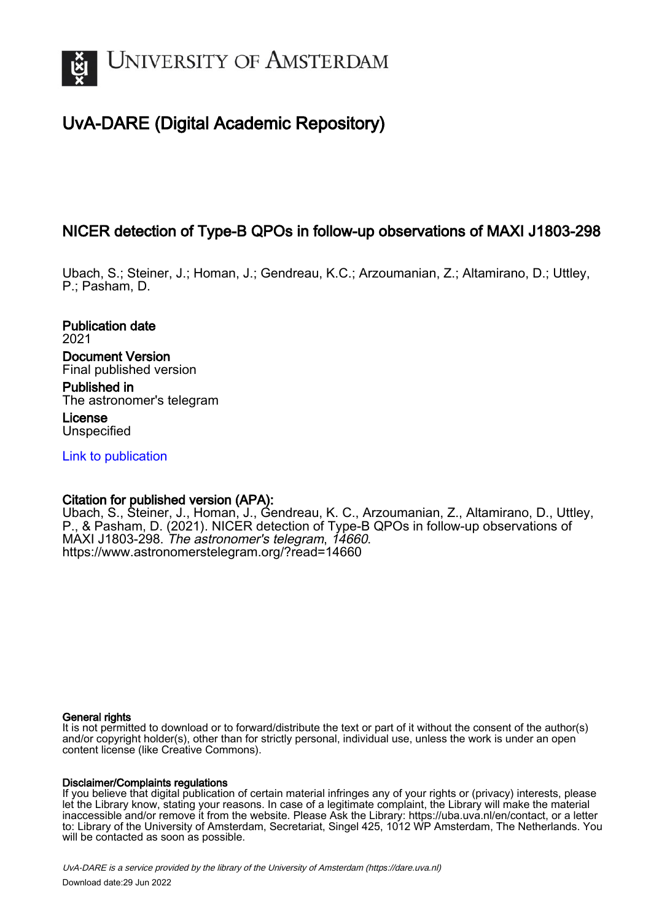

# UvA-DARE (Digital Academic Repository)

# NICER detection of Type-B QPOs in follow-up observations of MAXI J1803-298

Ubach, S.; Steiner, J.; Homan, J.; Gendreau, K.C.; Arzoumanian, Z.; Altamirano, D.; Uttley, P.; Pasham, D.

Publication date 2021 Document Version Final published version Published in The astronomer's telegram

License Unspecified

[Link to publication](https://dare.uva.nl/personal/pure/en/publications/nicer-detection-of-typeb-qpos-in-followup-observations-of-maxi-j1803298(b2b7929a-e100-43e7-bea5-3d86343fcf4d).html)

## Citation for published version (APA):

Ubach, S., Steiner, J., Homan, J., Gendreau, K. C., Arzoumanian, Z., Altamirano, D., Uttley, P., & Pasham, D. (2021). NICER detection of Type-B QPOs in follow-up observations of MAXI J1803-298. The astronomer's telegram, 14660. <https://www.astronomerstelegram.org/?read=14660>

### General rights

It is not permitted to download or to forward/distribute the text or part of it without the consent of the author(s) and/or copyright holder(s), other than for strictly personal, individual use, unless the work is under an open content license (like Creative Commons).

### Disclaimer/Complaints regulations

If you believe that digital publication of certain material infringes any of your rights or (privacy) interests, please let the Library know, stating your reasons. In case of a legitimate complaint, the Library will make the material inaccessible and/or remove it from the website. Please Ask the Library: https://uba.uva.nl/en/contact, or a letter to: Library of the University of Amsterdam, Secretariat, Singel 425, 1012 WP Amsterdam, The Netherlands. You will be contacted as soon as possible.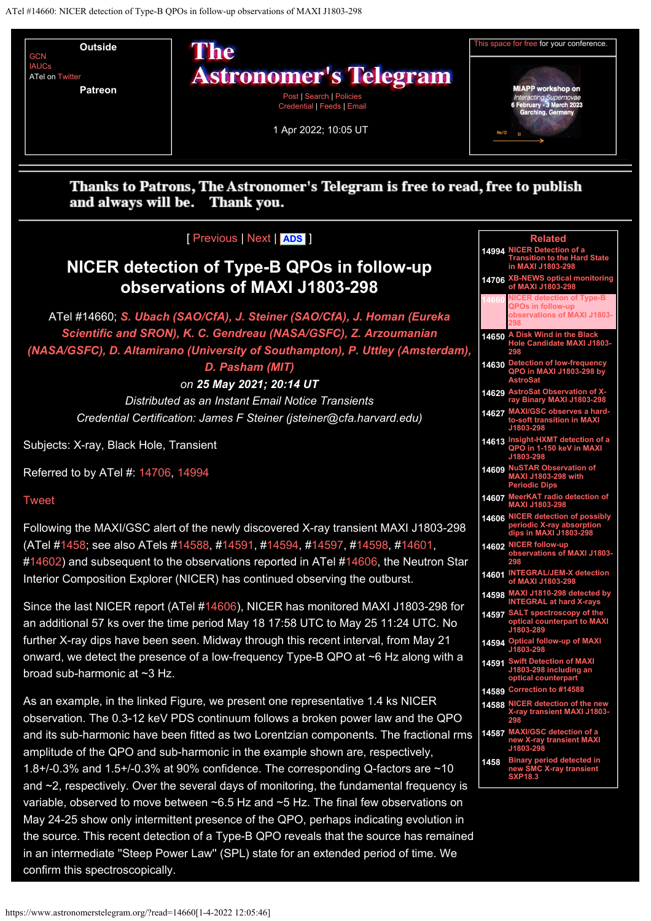<span id="page-1-0"></span>

#### Thanks to Patrons, The Astronomer's Telegram is free to read, free to publish and always will be. Thank you.

## [ [Previous](https://www.astronomerstelegram.org/?read=14659) | [Next](https://www.astronomerstelegram.org/?read=14661) | **[ADS](https://ui.adsabs.harvard.edu/search/q=bibstem%3A%22ATel14660%22)** ]

# **NICER detection of Type-B QPOs in follow-up observations of MAXI J1803-298**

ATel #14660; *[S. Ubach \(SAO/CfA\), J. Steiner \(SAO/CfA\), J. Homan \(Eureka](mailto:santiago.ubach_ramirez@cfa.harvard.edu) [Scientific and SRON\), K. C. Gendreau \(NASA/GSFC\), Z. Arzoumanian](mailto:santiago.ubach_ramirez@cfa.harvard.edu) [\(NASA/GSFC\), D. Altamirano \(University of Southampton\), P. Uttley \(Amsterdam\),](mailto:santiago.ubach_ramirez@cfa.harvard.edu)*

## *[D. Pasham \(MIT\)](mailto:santiago.ubach_ramirez@cfa.harvard.edu)*

*on 25 May 2021; 20:14 UT*

*Distributed as an Instant Email Notice Transients Credential Certification: James F Steiner (jsteiner@cfa.harvard.edu)*

Subjects: X-ray, Black Hole, Transient

Referred to by ATel #: [14706](https://www.astronomerstelegram.org/?read=14706), [14994](https://www.astronomerstelegram.org/?read=14994)

### [Tweet](https://twitter.com/share?ref_src=twsrc%5Etfw)

Following the MAXI/GSC alert of the newly discovered X-ray transient MAXI J1803-298 (ATel [#1458](https://www.astronomerstelegram.org/?read=1458); see also ATels [#14588](https://www.astronomerstelegram.org/?read=14588), #[14591](https://www.astronomerstelegram.org/?read=14591), [#14594](https://www.astronomerstelegram.org/?read=14594), #[14597,](https://www.astronomerstelegram.org/?read=14597) [#14598](https://www.astronomerstelegram.org/?read=14598), [#14601](https://www.astronomerstelegram.org/?read=14601), [#14602](https://www.astronomerstelegram.org/?read=14602)) and subsequent to the observations reported in ATel [#14606](https://www.astronomerstelegram.org/?read=14606), the Neutron Star Interior Composition Explorer (NICER) has continued observing the outburst.

Since the last NICER report (ATel [#14606](https://www.astronomerstelegram.org/?read=14606)), NICER has monitored MAXI J1803-298 for an additional 57 ks over the time period May 18 17:58 UTC to May 25 11:24 UTC. No further X-ray dips have been seen. Midway through this recent interval, from May 21 onward, we detect the presence of a low-frequency Type-B QPO at ~6 Hz along with a broad sub-harmonic at ~3 Hz.

As an example, in the linked Figure, we present one representative 1.4 ks NICER observation. The 0.3-12 keV PDS continuum follows a broken power law and the QPO and its sub-harmonic have been fitted as two Lorentzian components. The fractional rms amplitude of the QPO and sub-harmonic in the example shown are, respectively, 1.8+/-0.3% and 1.5+/-0.3% at 90% confidence. The corresponding Q-factors are ~10 and  $\sim$ 2, respectively. Over the several days of monitoring, the fundamental frequency is variable, observed to move between ~6.5 Hz and ~5 Hz. The final few observations on May 24-25 show only intermittent presence of the QPO, perhaps indicating evolution in the source. This recent detection of a Type-B QPO reveals that the source has remained in an intermediate ''Steep Power Law'' (SPL) state for an extended period of time. We confirm this spectroscopically.

| <b>Related</b><br>NICER Detection of a<br>Transition to the Hard State<br>in MAXI J1803-298<br>14994<br>XB-NEWS optical monitoring<br>of MAXI J1803-298<br>14706<br>NICER detection of Type-B<br>QPOs in follow-up<br><b>observations of MAXI J1803-</b><br>A Disk Wind in the Black<br>Hole Candidate MAXI J1803-<br>14650<br>298<br>Detection of low-frequency<br>QPO in MAXI J1803-298 by<br>14630<br>Astro<br>AstroSat Observation of X-<br>ray Binary MAXI J1803-298<br>14629<br>MAXI/GSC observes a hard-<br>to-soft transition in MAXI<br>J1803-298<br>14627<br>Insight-HXMT detection of a<br>QPO in 1-150 keV in MAXI<br>14613<br>J1803-298<br><b>NuSTAR Observation of</b><br>14609<br>.<br>MAXI J1803-298 with<br>Periodic Dips<br>MeerKAT radio detection of<br>MAXI J1803-298<br><u> 14607</u><br><b>NICE</b><br>R detection of possibly<br>14606<br>periodic X-ray absorption<br>dips in MAXI J1803-298<br>NICER follow-up<br>14602<br>observations of MAXI J1803-<br>298<br><b>INTE</b><br>NTEGRAL/JEM-X detection<br>f MAXI J1803-298<br>14601<br>14598 |
|-------------------------------------------------------------------------------------------------------------------------------------------------------------------------------------------------------------------------------------------------------------------------------------------------------------------------------------------------------------------------------------------------------------------------------------------------------------------------------------------------------------------------------------------------------------------------------------------------------------------------------------------------------------------------------------------------------------------------------------------------------------------------------------------------------------------------------------------------------------------------------------------------------------------------------------------------------------------------------------------------------------------------------------------------------------------------|
|                                                                                                                                                                                                                                                                                                                                                                                                                                                                                                                                                                                                                                                                                                                                                                                                                                                                                                                                                                                                                                                                         |
|                                                                                                                                                                                                                                                                                                                                                                                                                                                                                                                                                                                                                                                                                                                                                                                                                                                                                                                                                                                                                                                                         |
|                                                                                                                                                                                                                                                                                                                                                                                                                                                                                                                                                                                                                                                                                                                                                                                                                                                                                                                                                                                                                                                                         |
|                                                                                                                                                                                                                                                                                                                                                                                                                                                                                                                                                                                                                                                                                                                                                                                                                                                                                                                                                                                                                                                                         |
|                                                                                                                                                                                                                                                                                                                                                                                                                                                                                                                                                                                                                                                                                                                                                                                                                                                                                                                                                                                                                                                                         |
|                                                                                                                                                                                                                                                                                                                                                                                                                                                                                                                                                                                                                                                                                                                                                                                                                                                                                                                                                                                                                                                                         |
|                                                                                                                                                                                                                                                                                                                                                                                                                                                                                                                                                                                                                                                                                                                                                                                                                                                                                                                                                                                                                                                                         |
|                                                                                                                                                                                                                                                                                                                                                                                                                                                                                                                                                                                                                                                                                                                                                                                                                                                                                                                                                                                                                                                                         |
|                                                                                                                                                                                                                                                                                                                                                                                                                                                                                                                                                                                                                                                                                                                                                                                                                                                                                                                                                                                                                                                                         |
|                                                                                                                                                                                                                                                                                                                                                                                                                                                                                                                                                                                                                                                                                                                                                                                                                                                                                                                                                                                                                                                                         |
|                                                                                                                                                                                                                                                                                                                                                                                                                                                                                                                                                                                                                                                                                                                                                                                                                                                                                                                                                                                                                                                                         |
|                                                                                                                                                                                                                                                                                                                                                                                                                                                                                                                                                                                                                                                                                                                                                                                                                                                                                                                                                                                                                                                                         |
|                                                                                                                                                                                                                                                                                                                                                                                                                                                                                                                                                                                                                                                                                                                                                                                                                                                                                                                                                                                                                                                                         |
| MAXI J1810-298 detected by<br>INTEGRAL at hard X-rays                                                                                                                                                                                                                                                                                                                                                                                                                                                                                                                                                                                                                                                                                                                                                                                                                                                                                                                                                                                                                   |
| SALT spectroscopy of the<br>14597<br>optical counterpart to MA)<br>₫<br>J1803-28                                                                                                                                                                                                                                                                                                                                                                                                                                                                                                                                                                                                                                                                                                                                                                                                                                                                                                                                                                                        |
| <b>Optical follow-up of MAXI</b><br>14594<br>J1803-298                                                                                                                                                                                                                                                                                                                                                                                                                                                                                                                                                                                                                                                                                                                                                                                                                                                                                                                                                                                                                  |
| Swift Detection of MAXI<br>J1803-298 including an<br>14591<br>optical counterpart                                                                                                                                                                                                                                                                                                                                                                                                                                                                                                                                                                                                                                                                                                                                                                                                                                                                                                                                                                                       |
| Correction to #14588<br>14589                                                                                                                                                                                                                                                                                                                                                                                                                                                                                                                                                                                                                                                                                                                                                                                                                                                                                                                                                                                                                                           |
| <b>NICER detection of the</b><br>n<br>14588<br>-ray transient MAXI J1803<br>298                                                                                                                                                                                                                                                                                                                                                                                                                                                                                                                                                                                                                                                                                                                                                                                                                                                                                                                                                                                         |
| <b>MAXI/GSC detection of</b><br>14587<br>new X-ray transient MAXI                                                                                                                                                                                                                                                                                                                                                                                                                                                                                                                                                                                                                                                                                                                                                                                                                                                                                                                                                                                                       |
| <b>Binary</b><br>period detected in<br>1458<br>lew SMC X-ray transient<br>XP18.3                                                                                                                                                                                                                                                                                                                                                                                                                                                                                                                                                                                                                                                                                                                                                                                                                                                                                                                                                                                        |